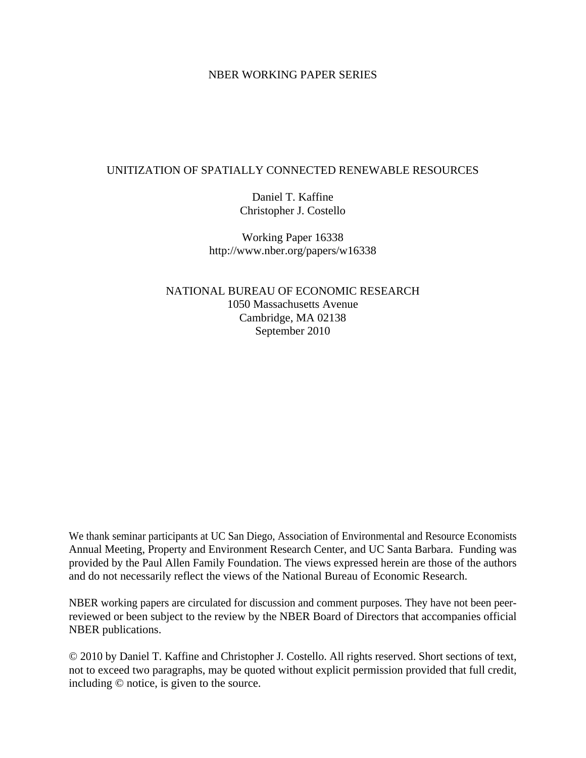#### NBER WORKING PAPER SERIES

#### UNITIZATION OF SPATIALLY CONNECTED RENEWABLE RESOURCES

Daniel T. Kaffine Christopher J. Costello

Working Paper 16338 http://www.nber.org/papers/w16338

NATIONAL BUREAU OF ECONOMIC RESEARCH 1050 Massachusetts Avenue Cambridge, MA 02138 September 2010

We thank seminar participants at UC San Diego, Association of Environmental and Resource Economists Annual Meeting, Property and Environment Research Center, and UC Santa Barbara. Funding was provided by the Paul Allen Family Foundation. The views expressed herein are those of the authors and do not necessarily reflect the views of the National Bureau of Economic Research.

NBER working papers are circulated for discussion and comment purposes. They have not been peerreviewed or been subject to the review by the NBER Board of Directors that accompanies official NBER publications.

© 2010 by Daniel T. Kaffine and Christopher J. Costello. All rights reserved. Short sections of text, not to exceed two paragraphs, may be quoted without explicit permission provided that full credit, including © notice, is given to the source.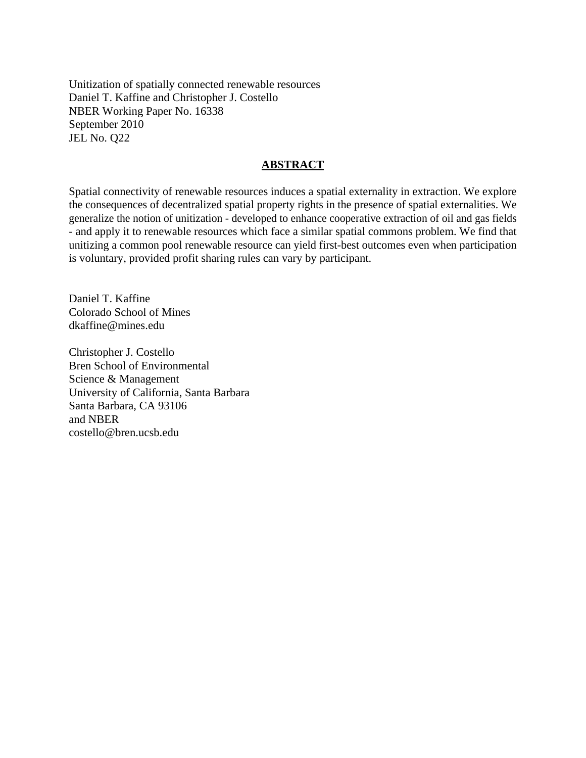Unitization of spatially connected renewable resources Daniel T. Kaffine and Christopher J. Costello NBER Working Paper No. 16338 September 2010 JEL No. Q22

#### **ABSTRACT**

Spatial connectivity of renewable resources induces a spatial externality in extraction. We explore the consequences of decentralized spatial property rights in the presence of spatial externalities. We generalize the notion of unitization - developed to enhance cooperative extraction of oil and gas fields - and apply it to renewable resources which face a similar spatial commons problem. We find that unitizing a common pool renewable resource can yield first-best outcomes even when participation is voluntary, provided profit sharing rules can vary by participant.

Daniel T. Kaffine Colorado School of Mines dkaffine@mines.edu

Christopher J. Costello Bren School of Environmental Science & Management University of California, Santa Barbara Santa Barbara, CA 93106 and NBER costello@bren.ucsb.edu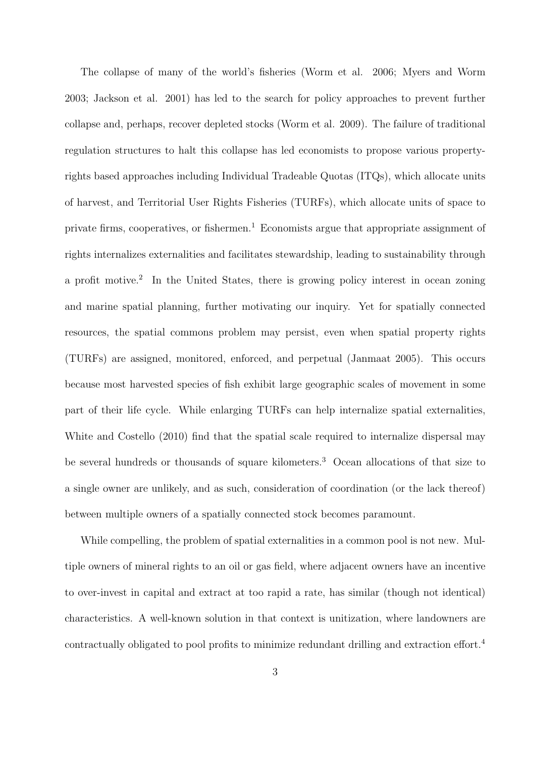The collapse of many of the world's fisheries (Worm et al. 2006; Myers and Worm 2003; Jackson et al. 2001) has led to the search for policy approaches to prevent further collapse and, perhaps, recover depleted stocks (Worm et al. 2009). The failure of traditional regulation structures to halt this collapse has led economists to propose various propertyrights based approaches including Individual Tradeable Quotas (ITQs), which allocate units of harvest, and Territorial User Rights Fisheries (TURFs), which allocate units of space to private firms, cooperatives, or fishermen.<sup>1</sup> Economists argue that appropriate assignment of rights internalizes externalities and facilitates stewardship, leading to sustainability through a profit motive.<sup>2</sup> In the United States, there is growing policy interest in ocean zoning and marine spatial planning, further motivating our inquiry. Yet for spatially connected resources, the spatial commons problem may persist, even when spatial property rights (TURFs) are assigned, monitored, enforced, and perpetual (Janmaat 2005). This occurs because most harvested species of fish exhibit large geographic scales of movement in some part of their life cycle. While enlarging TURFs can help internalize spatial externalities, White and Costello (2010) find that the spatial scale required to internalize dispersal may be several hundreds or thousands of square kilometers.<sup>3</sup> Ocean allocations of that size to a single owner are unlikely, and as such, consideration of coordination (or the lack thereof) between multiple owners of a spatially connected stock becomes paramount.

While compelling, the problem of spatial externalities in a common pool is not new. Multiple owners of mineral rights to an oil or gas field, where adjacent owners have an incentive to over-invest in capital and extract at too rapid a rate, has similar (though not identical) characteristics. A well-known solution in that context is unitization, where landowners are contractually obligated to pool profits to minimize redundant drilling and extraction effort.<sup>4</sup>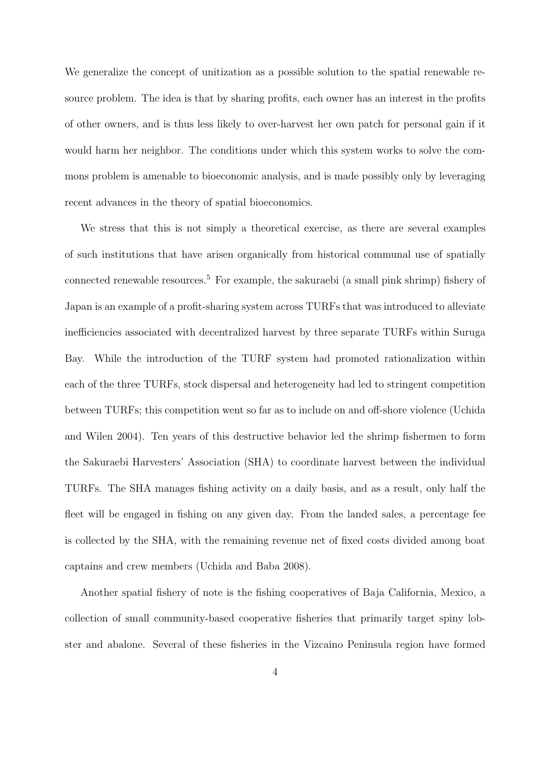We generalize the concept of unitization as a possible solution to the spatial renewable resource problem. The idea is that by sharing profits, each owner has an interest in the profits of other owners, and is thus less likely to over-harvest her own patch for personal gain if it would harm her neighbor. The conditions under which this system works to solve the commons problem is amenable to bioeconomic analysis, and is made possibly only by leveraging recent advances in the theory of spatial bioeconomics.

We stress that this is not simply a theoretical exercise, as there are several examples of such institutions that have arisen organically from historical communal use of spatially connected renewable resources.<sup>5</sup> For example, the sakuraebi (a small pink shrimp) fishery of Japan is an example of a profit-sharing system across TURFs that was introduced to alleviate inefficiencies associated with decentralized harvest by three separate TURFs within Suruga Bay. While the introduction of the TURF system had promoted rationalization within each of the three TURFs, stock dispersal and heterogeneity had led to stringent competition between TURFs; this competition went so far as to include on and off-shore violence (Uchida and Wilen 2004). Ten years of this destructive behavior led the shrimp fishermen to form the Sakuraebi Harvesters' Association (SHA) to coordinate harvest between the individual TURFs. The SHA manages fishing activity on a daily basis, and as a result, only half the fleet will be engaged in fishing on any given day. From the landed sales, a percentage fee is collected by the SHA, with the remaining revenue net of fixed costs divided among boat captains and crew members (Uchida and Baba 2008).

Another spatial fishery of note is the fishing cooperatives of Baja California, Mexico, a collection of small community-based cooperative fisheries that primarily target spiny lobster and abalone. Several of these fisheries in the Vizcaino Peninsula region have formed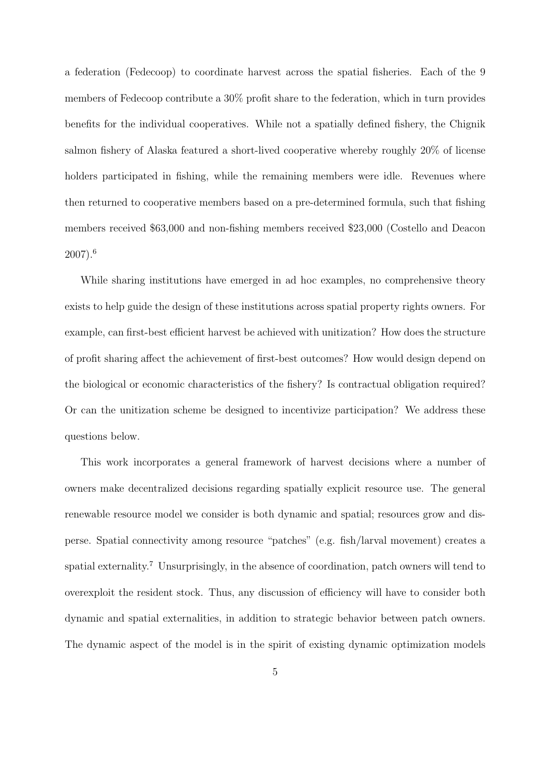a federation (Fedecoop) to coordinate harvest across the spatial fisheries. Each of the 9 members of Fedecoop contribute a 30% profit share to the federation, which in turn provides benefits for the individual cooperatives. While not a spatially defined fishery, the Chignik salmon fishery of Alaska featured a short-lived cooperative whereby roughly 20% of license holders participated in fishing, while the remaining members were idle. Revenues where then returned to cooperative members based on a pre-determined formula, such that fishing members received \$63,000 and non-fishing members received \$23,000 (Costello and Deacon 2007).<sup>6</sup>

While sharing institutions have emerged in ad hoc examples, no comprehensive theory exists to help guide the design of these institutions across spatial property rights owners. For example, can first-best efficient harvest be achieved with unitization? How does the structure of profit sharing affect the achievement of first-best outcomes? How would design depend on the biological or economic characteristics of the fishery? Is contractual obligation required? Or can the unitization scheme be designed to incentivize participation? We address these questions below.

This work incorporates a general framework of harvest decisions where a number of owners make decentralized decisions regarding spatially explicit resource use. The general renewable resource model we consider is both dynamic and spatial; resources grow and disperse. Spatial connectivity among resource "patches" (e.g. fish/larval movement) creates a spatial externality.<sup>7</sup> Unsurprisingly, in the absence of coordination, patch owners will tend to overexploit the resident stock. Thus, any discussion of efficiency will have to consider both dynamic and spatial externalities, in addition to strategic behavior between patch owners. The dynamic aspect of the model is in the spirit of existing dynamic optimization models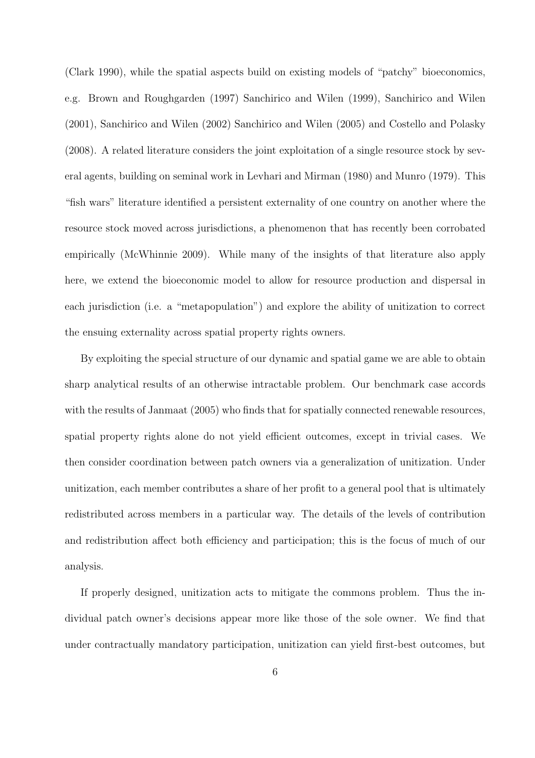(Clark 1990), while the spatial aspects build on existing models of "patchy" bioeconomics, e.g. Brown and Roughgarden (1997) Sanchirico and Wilen (1999), Sanchirico and Wilen (2001), Sanchirico and Wilen (2002) Sanchirico and Wilen (2005) and Costello and Polasky (2008). A related literature considers the joint exploitation of a single resource stock by several agents, building on seminal work in Levhari and Mirman (1980) and Munro (1979). This "fish wars" literature identified a persistent externality of one country on another where the resource stock moved across jurisdictions, a phenomenon that has recently been corrobated empirically (McWhinnie 2009). While many of the insights of that literature also apply here, we extend the bioeconomic model to allow for resource production and dispersal in each jurisdiction (i.e. a "metapopulation") and explore the ability of unitization to correct the ensuing externality across spatial property rights owners.

By exploiting the special structure of our dynamic and spatial game we are able to obtain sharp analytical results of an otherwise intractable problem. Our benchmark case accords with the results of Janmaat (2005) who finds that for spatially connected renewable resources, spatial property rights alone do not yield efficient outcomes, except in trivial cases. We then consider coordination between patch owners via a generalization of unitization. Under unitization, each member contributes a share of her profit to a general pool that is ultimately redistributed across members in a particular way. The details of the levels of contribution and redistribution affect both efficiency and participation; this is the focus of much of our analysis.

If properly designed, unitization acts to mitigate the commons problem. Thus the individual patch owner's decisions appear more like those of the sole owner. We find that under contractually mandatory participation, unitization can yield first-best outcomes, but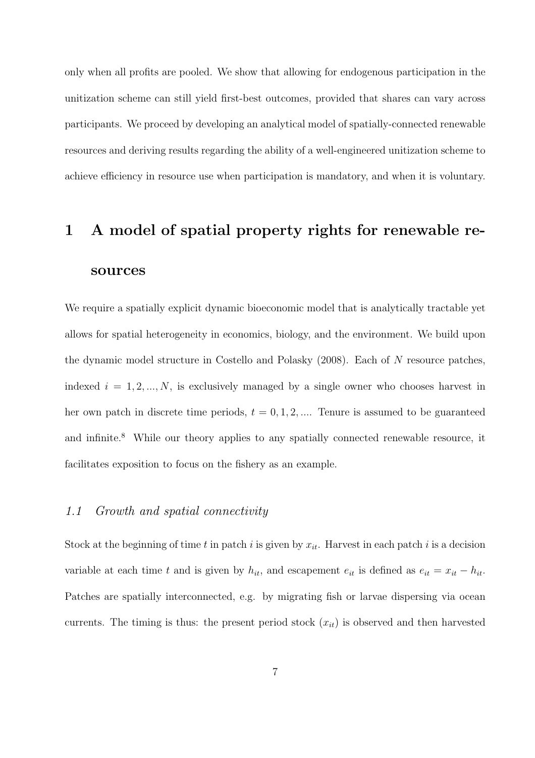only when all profits are pooled. We show that allowing for endogenous participation in the unitization scheme can still yield first-best outcomes, provided that shares can vary across participants. We proceed by developing an analytical model of spatially-connected renewable resources and deriving results regarding the ability of a well-engineered unitization scheme to achieve efficiency in resource use when participation is mandatory, and when it is voluntary.

# 1 A model of spatial property rights for renewable resources

We require a spatially explicit dynamic bioeconomic model that is analytically tractable yet allows for spatial heterogeneity in economics, biology, and the environment. We build upon the dynamic model structure in Costello and Polasky (2008). Each of N resource patches, indexed  $i = 1, 2, ..., N$ , is exclusively managed by a single owner who chooses harvest in her own patch in discrete time periods,  $t = 0, 1, 2, \dots$  Tenure is assumed to be guaranteed and infinite.<sup>8</sup> While our theory applies to any spatially connected renewable resource, it facilitates exposition to focus on the fishery as an example.

#### 1.1 Growth and spatial connectivity

Stock at the beginning of time t in patch i is given by  $x_{it}$ . Harvest in each patch i is a decision variable at each time t and is given by  $h_{it}$ , and escapement  $e_{it}$  is defined as  $e_{it} = x_{it} - h_{it}$ . Patches are spatially interconnected, e.g. by migrating fish or larvae dispersing via ocean currents. The timing is thus: the present period stock  $(x_{it})$  is observed and then harvested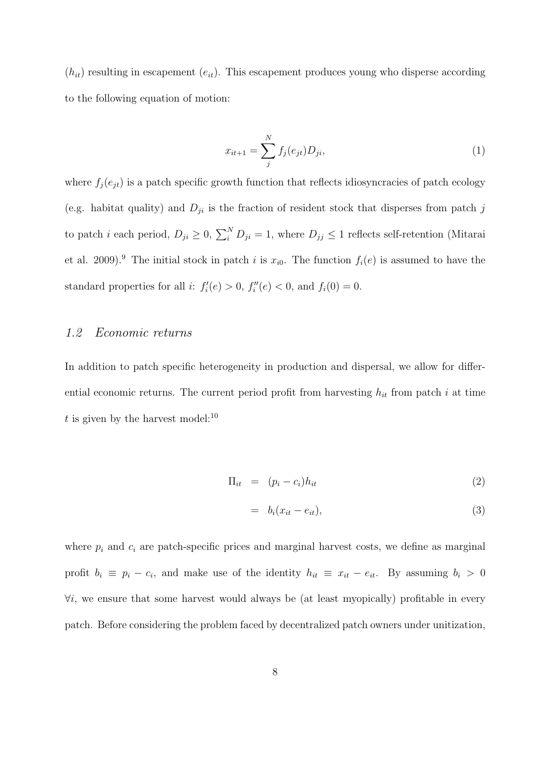$(h_{it})$  resulting in escapement  $(e_{it})$ . This escapement produces young who disperse according to the following equation of motion:

$$
x_{it+1} = \sum_{j}^{N} f_j(e_{jt}) D_{ji}, \qquad (1)
$$

where  $f_j(e_{jt})$  is a patch specific growth function that reflects idiosyncracies of patch ecology (e.g. habitat quality) and  $D_{ji}$  is the fraction of resident stock that disperses from patch j to patch *i* each period,  $D_{ji} \geq 0$ ,  $\sum_{i=1}^{N} D_{ji} = 1$ , where  $D_{jj} \leq 1$  reflects self-retention (Mitarai et al. 2009).<sup>9</sup> The initial stock in patch i is  $x_{i0}$ . The function  $f_i(e)$  is assumed to have the standard properties for all *i*:  $f_i'(e) > 0$ ,  $f_i''(e) < 0$ , and  $f_i(0) = 0$ .

#### 1.2 Economic returns

In addition to patch specific heterogeneity in production and dispersal, we allow for differential economic returns. The current period profit from harvesting  $h_{it}$  from patch i at time t is given by the harvest model:<sup>10</sup>

$$
\Pi_{it} = (p_i - c_i)h_{it} \tag{2}
$$

$$
= b_i(x_{it} - e_{it}), \tag{3}
$$

where  $p_i$  and  $c_i$  are patch-specific prices and marginal harvest costs, we define as marginal profit  $b_i \equiv p_i - c_i$ , and make use of the identity  $h_{it} \equiv x_{it} - e_{it}$ . By assuming  $b_i > 0$  $\forall i$ , we ensure that some harvest would always be (at least myopically) profitable in every patch. Before considering the problem faced by decentralized patch owners under unitization,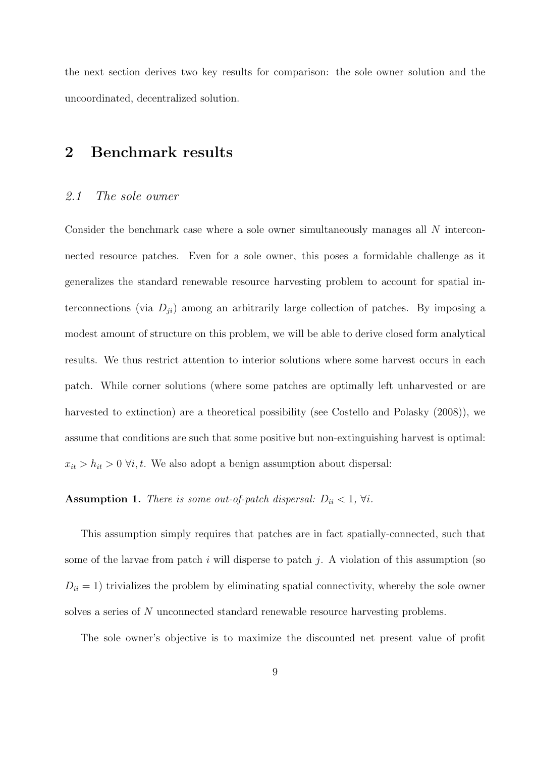the next section derives two key results for comparison: the sole owner solution and the uncoordinated, decentralized solution.

## 2 Benchmark results

#### 2.1 The sole owner

Consider the benchmark case where a sole owner simultaneously manages all N interconnected resource patches. Even for a sole owner, this poses a formidable challenge as it generalizes the standard renewable resource harvesting problem to account for spatial interconnections (via  $D_{ji}$ ) among an arbitrarily large collection of patches. By imposing a modest amount of structure on this problem, we will be able to derive closed form analytical results. We thus restrict attention to interior solutions where some harvest occurs in each patch. While corner solutions (where some patches are optimally left unharvested or are harvested to extinction) are a theoretical possibility (see Costello and Polasky (2008)), we assume that conditions are such that some positive but non-extinguishing harvest is optimal:  $x_{it} > h_{it} > 0 \ \forall i, t$ . We also adopt a benign assumption about dispersal:

### Assumption 1. There is some out-of-patch dispersal:  $D_{ii} < 1$ ,  $\forall i$ .

This assumption simply requires that patches are in fact spatially-connected, such that some of the larvae from patch i will disperse to patch j. A violation of this assumption (so  $D_{ii} = 1$ ) trivializes the problem by eliminating spatial connectivity, whereby the sole owner solves a series of N unconnected standard renewable resource harvesting problems.

The sole owner's objective is to maximize the discounted net present value of profit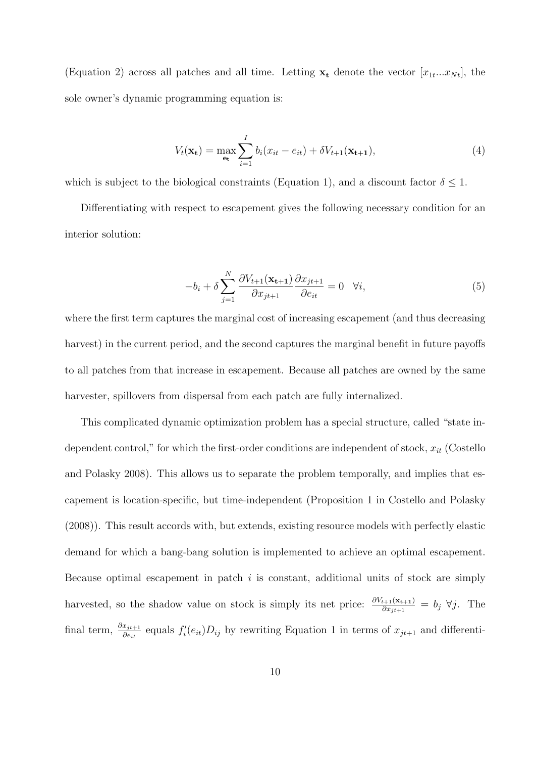(Equation 2) across all patches and all time. Letting  $\mathbf{x}_t$  denote the vector  $[x_{1t}...x_{Nt}]$ , the sole owner's dynamic programming equation is:

$$
V_t(\mathbf{x_t}) = \max_{\mathbf{e_t}} \sum_{i=1}^{I} b_i (x_{it} - e_{it}) + \delta V_{t+1}(\mathbf{x_{t+1}}),
$$
\n(4)

which is subject to the biological constraints (Equation 1), and a discount factor  $\delta \leq 1$ .

Differentiating with respect to escapement gives the following necessary condition for an interior solution:

$$
-b_i + \delta \sum_{j=1}^{N} \frac{\partial V_{t+1}(\mathbf{x}_{t+1})}{\partial x_{jt+1}} \frac{\partial x_{jt+1}}{\partial e_{it}} = 0 \quad \forall i,
$$
\n
$$
(5)
$$

where the first term captures the marginal cost of increasing escapement (and thus decreasing harvest) in the current period, and the second captures the marginal benefit in future payoffs to all patches from that increase in escapement. Because all patches are owned by the same harvester, spillovers from dispersal from each patch are fully internalized.

This complicated dynamic optimization problem has a special structure, called "state independent control," for which the first-order conditions are independent of stock,  $x_{it}$  (Costello and Polasky 2008). This allows us to separate the problem temporally, and implies that escapement is location-specific, but time-independent (Proposition 1 in Costello and Polasky (2008)). This result accords with, but extends, existing resource models with perfectly elastic demand for which a bang-bang solution is implemented to achieve an optimal escapement. Because optimal escapement in patch  $i$  is constant, additional units of stock are simply harvested, so the shadow value on stock is simply its net price:  $\frac{\partial V_{t+1}(\mathbf{x}_{t+1})}{\partial x_{jt+1}} = b_j \ \forall j$ . The final term,  $\frac{\partial x_{jt+1}}{\partial e_{it}}$  equals  $f'_i(e_{it})D_{ij}$  by rewriting Equation 1 in terms of  $x_{jt+1}$  and differenti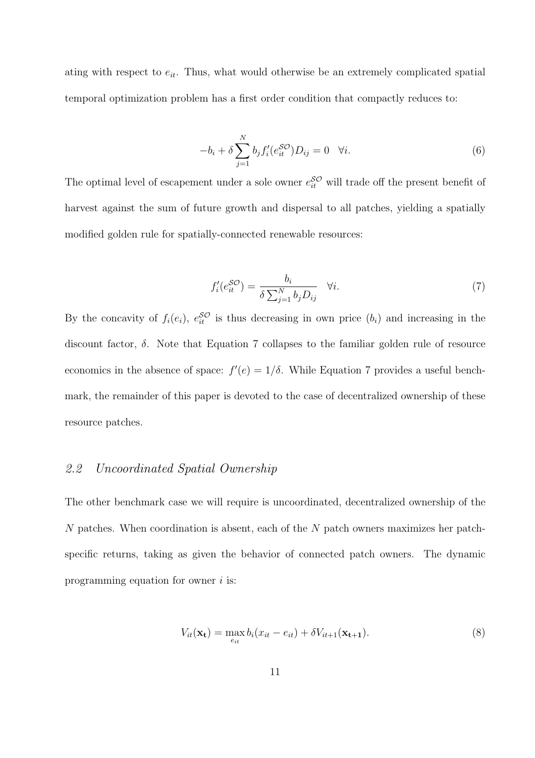ating with respect to  $e_{it}$ . Thus, what would otherwise be an extremely complicated spatial temporal optimization problem has a first order condition that compactly reduces to:

$$
-b_i + \delta \sum_{j=1}^{N} b_j f_i'(e_{it}^{\mathcal{SO}}) D_{ij} = 0 \quad \forall i.
$$
 (6)

The optimal level of escapement under a sole owner  $e_{it}^{\mathcal{SO}}$  will trade off the present benefit of harvest against the sum of future growth and dispersal to all patches, yielding a spatially modified golden rule for spatially-connected renewable resources:

$$
f_i'(e_{it}^{SO}) = \frac{b_i}{\delta \sum_{j=1}^{N} b_j D_{ij}} \quad \forall i.
$$
 (7)

By the concavity of  $f_i(e_i)$ ,  $e_{it}^{\mathcal{SO}}$  is thus decreasing in own price  $(b_i)$  and increasing in the discount factor,  $\delta$ . Note that Equation 7 collapses to the familiar golden rule of resource economics in the absence of space:  $f'(e) = 1/\delta$ . While Equation 7 provides a useful benchmark, the remainder of this paper is devoted to the case of decentralized ownership of these resource patches.

#### 2.2 Uncoordinated Spatial Ownership

The other benchmark case we will require is uncoordinated, decentralized ownership of the N patches. When coordination is absent, each of the N patch owners maximizes her patchspecific returns, taking as given the behavior of connected patch owners. The dynamic programming equation for owner  $i$  is:

$$
V_{it}(\mathbf{x_t}) = \max_{e_{it}} b_i(x_{it} - e_{it}) + \delta V_{it+1}(\mathbf{x_{t+1}}). \tag{8}
$$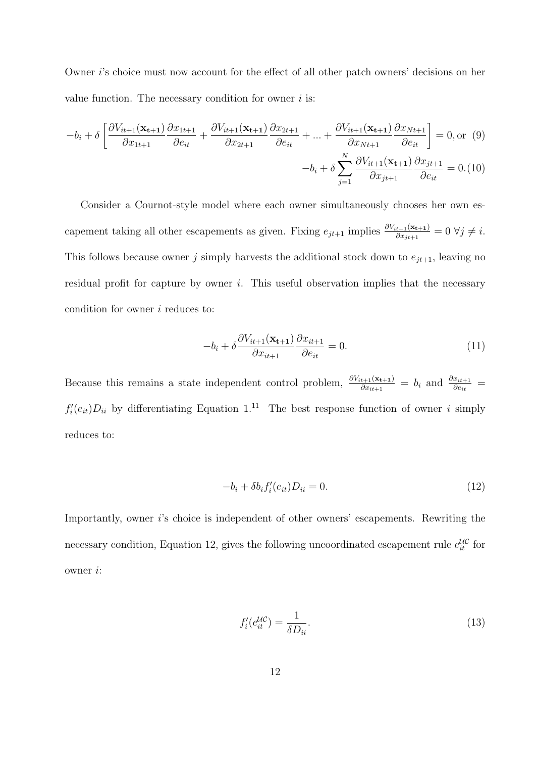Owner i's choice must now account for the effect of all other patch owners' decisions on her value function. The necessary condition for owner  $i$  is:

$$
-b_i + \delta \left[ \frac{\partial V_{it+1}(\mathbf{x_{t+1}})}{\partial x_{1t+1}} \frac{\partial x_{1t+1}}{\partial e_{it}} + \frac{\partial V_{it+1}(\mathbf{x_{t+1}})}{\partial x_{2t+1}} \frac{\partial x_{2t+1}}{\partial e_{it}} + \dots + \frac{\partial V_{it+1}(\mathbf{x_{t+1}})}{\partial x_{Nt+1}} \frac{\partial x_{Nt+1}}{\partial e_{it}} \right] = 0, \text{or } (9)
$$

$$
-b_i + \delta \sum_{j=1}^{N} \frac{\partial V_{it+1}(\mathbf{x_{t+1}})}{\partial x_{jt+1}} \frac{\partial x_{jt+1}}{\partial e_{it}} = 0. (10)
$$

Consider a Cournot-style model where each owner simultaneously chooses her own escapement taking all other escapements as given. Fixing  $e_{jt+1}$  implies  $\frac{\partial V_{it+1}(\mathbf{x}_{t+1})}{\partial x_{jt+1}} = 0 \ \forall j \neq i$ . This follows because owner j simply harvests the additional stock down to  $e_{jt+1}$ , leaving no residual profit for capture by owner  $i$ . This useful observation implies that the necessary condition for owner  $i$  reduces to:

$$
-b_i + \delta \frac{\partial V_{it+1}(\mathbf{x}_{t+1})}{\partial x_{it+1}} \frac{\partial x_{it+1}}{\partial e_{it}} = 0.
$$
 (11)

Because this remains a state independent control problem,  $\frac{\partial V_{it+1}(\mathbf{x}_{t+1})}{\partial x_{it+1}} = b_i$  and  $\frac{\partial x_{it+1}}{\partial e_{it}}$  $f_i'(e_{it})D_{ii}$  by differentiating Equation 1.<sup>11</sup> The best response function of owner i simply reduces to:

$$
-b_i + \delta b_i f_i'(e_{it}) D_{ii} = 0.
$$
\n
$$
(12)
$$

Importantly, owner i's choice is independent of other owners' escapements. Rewriting the necessary condition, Equation 12, gives the following uncoordinated escapement rule  $e_{it}^{\mathcal{UC}}$  for owner i:

$$
f_i'(e_{it}^{\mathcal{UC}}) = \frac{1}{\delta D_{ii}}.\tag{13}
$$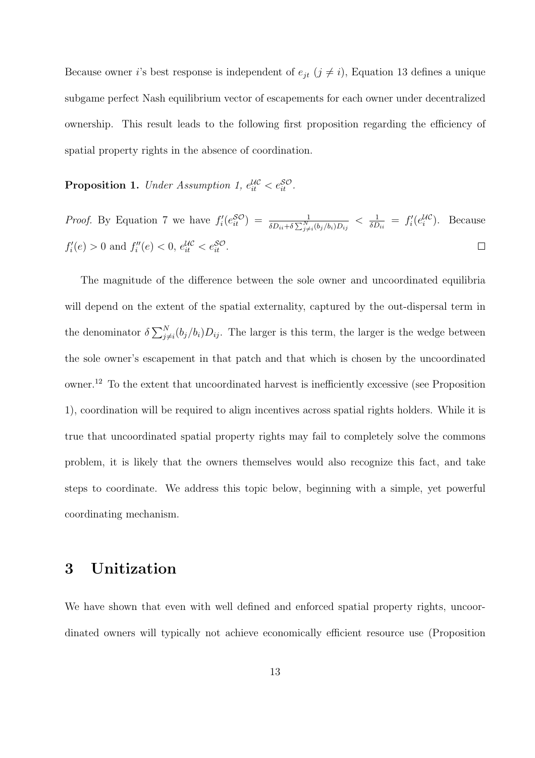Because owner *i*'s best response is independent of  $e_{jt}$  ( $j \neq i$ ), Equation 13 defines a unique subgame perfect Nash equilibrium vector of escapements for each owner under decentralized ownership. This result leads to the following first proposition regarding the efficiency of spatial property rights in the absence of coordination.

**Proposition 1.** Under Assumption 1,  $e_{it}^{\mu\sigma} < e_{it}^{\mathcal{SO}}$ .

*Proof.* By Equation 7 we have  $f_i'(e^{S\mathcal{O}}) = \frac{1}{\delta D_{ii} + \delta \sum_{j \neq i}^{N} (b_j/b_i) D_{ij}} < \frac{1}{\delta D}$  $\frac{1}{\delta D_{ii}} = f'_i(e^{U\mathcal{C}}_i)$ . Because  $f'_{i}(e) > 0$  and  $f''_{i}(e) < 0$ ,  $e^{i\mathcal{L}}_{it} < e^{i\mathcal{S}}_{it}$ .  $\Box$ 

The magnitude of the difference between the sole owner and uncoordinated equilibria will depend on the extent of the spatial externality, captured by the out-dispersal term in the denominator  $\delta \sum_{i=1}^{N}$  $\int_{j\neq i}^{N}(b_j/b_i)D_{ij}$ . The larger is this term, the larger is the wedge between the sole owner's escapement in that patch and that which is chosen by the uncoordinated owner.<sup>12</sup> To the extent that uncoordinated harvest is inefficiently excessive (see Proposition 1), coordination will be required to align incentives across spatial rights holders. While it is true that uncoordinated spatial property rights may fail to completely solve the commons problem, it is likely that the owners themselves would also recognize this fact, and take steps to coordinate. We address this topic below, beginning with a simple, yet powerful coordinating mechanism.

## 3 Unitization

We have shown that even with well defined and enforced spatial property rights, uncoordinated owners will typically not achieve economically efficient resource use (Proposition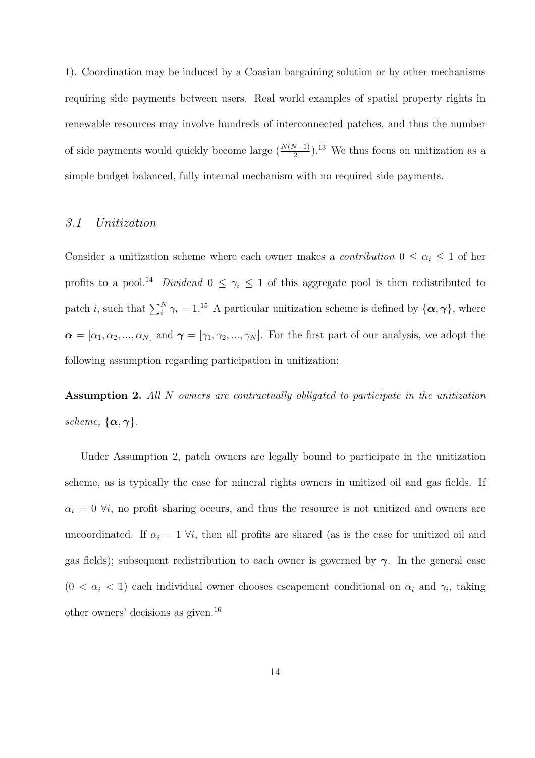1). Coordination may be induced by a Coasian bargaining solution or by other mechanisms requiring side payments between users. Real world examples of spatial property rights in renewable resources may involve hundreds of interconnected patches, and thus the number of side payments would quickly become large  $(\frac{N(N-1)}{2})$ .<sup>13</sup> We thus focus on unitization as a simple budget balanced, fully internal mechanism with no required side payments.

#### 3.1 Unitization

Consider a unitization scheme where each owner makes a *contribution*  $0 \leq \alpha_i \leq 1$  of her profits to a pool.<sup>14</sup> Dividend  $0 \leq \gamma_i \leq 1$  of this aggregate pool is then redistributed to patch *i*, such that  $\sum_{i=1}^{N} \gamma_i = 1.15$  A particular unitization scheme is defined by  $\{\alpha, \gamma\}$ , where  $\boldsymbol{\alpha} = [\alpha_1, \alpha_2, ..., \alpha_N]$  and  $\boldsymbol{\gamma} = [\gamma_1, \gamma_2, ..., \gamma_N]$ . For the first part of our analysis, we adopt the following assumption regarding participation in unitization:

Assumption 2. All N owners are contractually obligated to participate in the unitization scheme,  $\{\boldsymbol{\alpha}, \boldsymbol{\gamma}\}.$ 

Under Assumption 2, patch owners are legally bound to participate in the unitization scheme, as is typically the case for mineral rights owners in unitized oil and gas fields. If  $\alpha_i = 0$   $\forall i$ , no profit sharing occurs, and thus the resource is not unitized and owners are uncoordinated. If  $\alpha_i = 1 \forall i$ , then all profits are shared (as is the case for unitized oil and gas fields); subsequent redistribution to each owner is governed by  $\gamma$ . In the general case  $(0 < \alpha_i < 1)$  each individual owner chooses escapement conditional on  $\alpha_i$  and  $\gamma_i$ , taking other owners' decisions as given.<sup>16</sup>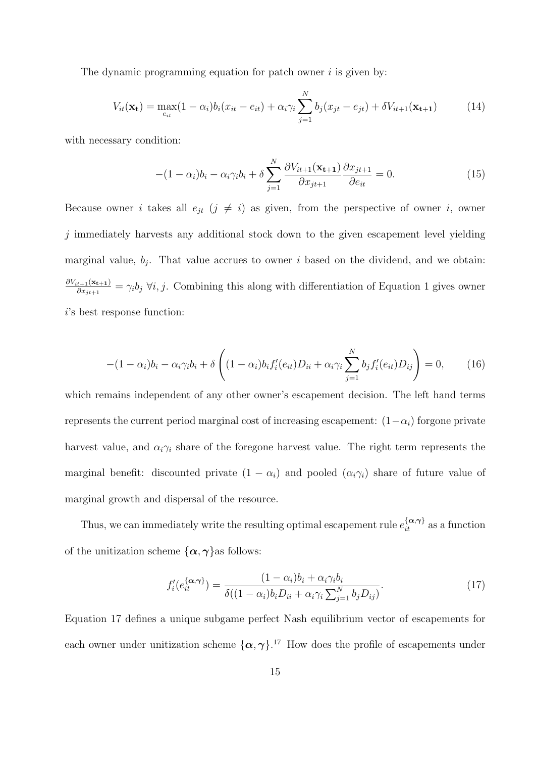The dynamic programming equation for patch owner  $i$  is given by:

$$
V_{it}(\mathbf{x_t}) = \max_{e_{it}} (1 - \alpha_i) b_i (x_{it} - e_{it}) + \alpha_i \gamma_i \sum_{j=1}^{N} b_j (x_{jt} - e_{jt}) + \delta V_{it+1}(\mathbf{x_{t+1}})
$$
(14)

with necessary condition:

$$
-(1 - \alpha_i)b_i - \alpha_i\gamma_ib_i + \delta \sum_{j=1}^N \frac{\partial V_{it+1}(\mathbf{x}_{t+1})}{\partial x_{jt+1}} \frac{\partial x_{jt+1}}{\partial e_{it}} = 0.
$$
 (15)

Because owner i takes all  $e_{jt}$  ( $j \neq i$ ) as given, from the perspective of owner i, owner  $j$  immediately harvests any additional stock down to the given escapement level yielding marginal value,  $b_j$ . That value accrues to owner i based on the dividend, and we obtain:  $\partial V_{it+1}(\mathbf{x_{t+1}})$  $\frac{t+1(\mathbf{X}_{t+1})}{\partial x_{jt+1}} = \gamma_i b_j \; \forall i, j.$  Combining this along with differentiation of Equation 1 gives owner i's best response function:

$$
-(1-\alpha_i)b_i - \alpha_i\gamma_ib_i + \delta\left((1-\alpha_i)b_if'_i(e_{it})D_{ii} + \alpha_i\gamma_i\sum_{j=1}^N b_jf'_i(e_{it})D_{ij}\right) = 0, \qquad (16)
$$

which remains independent of any other owner's escapement decision. The left hand terms represents the current period marginal cost of increasing escapement:  $(1-\alpha_i)$  forgone private harvest value, and  $\alpha_i \gamma_i$  share of the foregone harvest value. The right term represents the marginal benefit: discounted private  $(1 - \alpha_i)$  and pooled  $(\alpha_i \gamma_i)$  share of future value of marginal growth and dispersal of the resource.

Thus, we can immediately write the resulting optimal escapement rule  $e_{it}^{\{\alpha,\gamma\}}$  as a function of the unitization scheme  $\{\alpha, \gamma\}$ as follows:

$$
f_i'(e_{it}^{\{\alpha,\gamma\}}) = \frac{(1-\alpha_i)b_i + \alpha_i\gamma_ib_i}{\delta((1-\alpha_i)b_iD_{ii} + \alpha_i\gamma_i\sum_{j=1}^N b_jD_{ij})}.
$$
\n(17)

Equation 17 defines a unique subgame perfect Nash equilibrium vector of escapements for each owner under unitization scheme  $\{\alpha, \gamma\}$ .<sup>17</sup> How does the profile of escapements under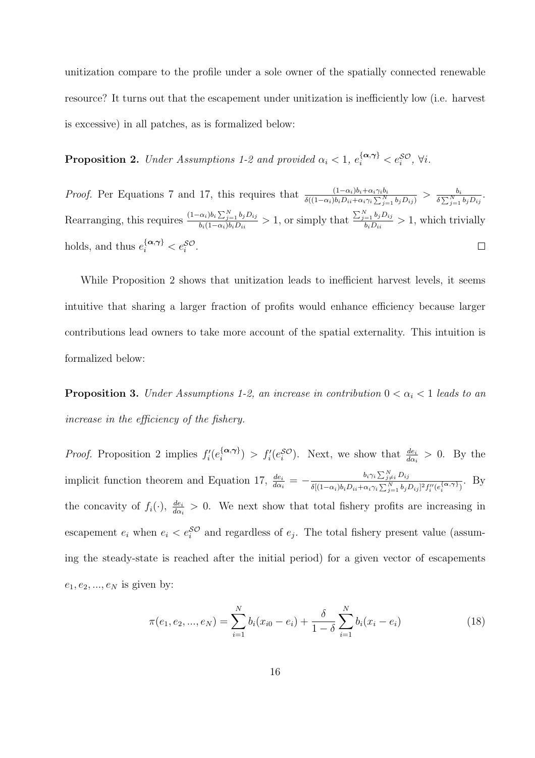unitization compare to the profile under a sole owner of the spatially connected renewable resource? It turns out that the escapement under unitization is inefficiently low (i.e. harvest is excessive) in all patches, as is formalized below:

**Proposition 2.** Under Assumptions 1-2 and provided  $\alpha_i < 1$ ,  $e_i^{\{\boldsymbol{\alpha}, \boldsymbol{\gamma}\}} < e_i^{\mathcal{SO}}, \forall i$ .

*Proof.* Per Equations 7 and 17, this requires that  $\frac{(1-\alpha_i)b_i+\alpha_i\gamma_ib_i}{\delta((1-\alpha_i)b_iD_{ii}+\alpha_i\gamma_i\sum_{j=1}^N b_jD_{ij})} > \frac{b_i}{\delta\sum_{j=1}^N b_j}$  $\frac{b_i}{\delta \sum_{j=1}^N b_j D_{ij}}.$ Rearranging, this requires  $\frac{(1-\alpha_i)b_i\sum_{j=1}^N b_jD_{ij}}{b_i(1-\alpha_i)b_iD_{ij}}$  $\sum_{j=1}^N b_j D_{ij}$  $\frac{\partial a_i \partial a_i}{\partial b_i(1-\alpha_i)b_iD_{ii}} > 1$ , or simply that  $\frac{e^{-1}}{b_i D_{ii}}$  > 1, which trivially holds, and thus  $e_i^{\{\boldsymbol{\alpha},\boldsymbol{\gamma}\}} < e_i^{\mathcal{SO}}$ .  $\Box$ 

While Proposition 2 shows that unitization leads to inefficient harvest levels, it seems intuitive that sharing a larger fraction of profits would enhance efficiency because larger contributions lead owners to take more account of the spatial externality. This intuition is formalized below:

**Proposition 3.** Under Assumptions 1-2, an increase in contribution  $0 < \alpha_i < 1$  leads to an increase in the efficiency of the fishery.

*Proof.* Proposition 2 implies  $f_i^{\prime}(e_i^{\{\boldsymbol{\alpha},\boldsymbol{\gamma}\}})$  $\binom{\{\alpha,\gamma\}}{i} > f'_i(e_i^{\mathcal{SO}})$ . Next, we show that  $\frac{de_i}{d\alpha_i} > 0$ . By the implicit function theorem and Equation 17,  $\frac{de_i}{d\alpha_i} = -\frac{b_i \gamma_i \sum_{j \neq i}^N D_{ij}}{\delta[(1-\alpha_i)b_i D_{ii} + \alpha_i \gamma_i \sum_{j \neq i}^N b_{ij}]}$  $\frac{b_i\gamma_i \sum_{j\neq i}Di_j}{\delta[(1-\alpha_i)b_iD_{ii}+\alpha_i\gamma_i\sum_{j=1}^N b_jD_{ij}]^2f''_i(e_i^{\{\alpha,\gamma\}})}$ . By the concavity of  $f_i(\cdot)$ ,  $\frac{de_i}{d\alpha_i} > 0$ . We next show that total fishery profits are increasing in escapement  $e_i$  when  $e_i < e_i^{SO}$  and regardless of  $e_j$ . The total fishery present value (assuming the steady-state is reached after the initial period) for a given vector of escapements  $e_1, e_2, \ldots, e_N$  is given by:

$$
\pi(e_1, e_2, ..., e_N) = \sum_{i=1}^{N} b_i (x_{i0} - e_i) + \frac{\delta}{1 - \delta} \sum_{i=1}^{N} b_i (x_i - e_i)
$$
\n(18)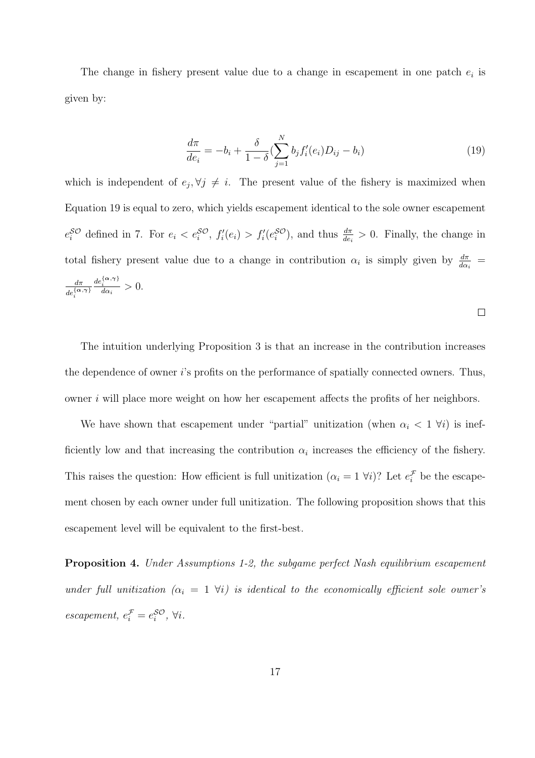The change in fishery present value due to a change in escapement in one patch  $e_i$  is given by:

$$
\frac{d\pi}{de_i} = -b_i + \frac{\delta}{1-\delta} \left( \sum_{j=1}^N b_j f'_i(e_i) D_{ij} - b_i \right)
$$
\n(19)

which is independent of  $e_j, \forall j \neq i$ . The present value of the fishery is maximized when Equation 19 is equal to zero, which yields escapement identical to the sole owner escapement  $e_i^{\mathcal{SO}}$  defined in 7. For  $e_i < e_i^{\mathcal{SO}}, f_i'(e_i) > f_i'(e_i^{\mathcal{SO}})$ , and thus  $\frac{d\pi}{de_i} > 0$ . Finally, the change in total fishery present value due to a change in contribution  $\alpha_i$  is simply given by  $\frac{d\pi}{d\alpha_i}$  = dπ  $de_{i}^{\{\boldsymbol{\alpha},\boldsymbol{\gamma}\}}$  $\frac{de_i^{\{\alpha,\gamma\}}}{d\alpha_i} > 0.$ 

 $\Box$ 

The intuition underlying Proposition 3 is that an increase in the contribution increases the dependence of owner i's profits on the performance of spatially connected owners. Thus, owner i will place more weight on how her escapement affects the profits of her neighbors.

We have shown that escapement under "partial" unitization (when  $\alpha_i < 1 \; \forall i$ ) is inefficiently low and that increasing the contribution  $\alpha_i$  increases the efficiency of the fishery. This raises the question: How efficient is full unitization  $(\alpha_i = 1 \forall i)$ ? Let  $e_i^{\mathcal{F}}$  be the escapement chosen by each owner under full unitization. The following proposition shows that this escapement level will be equivalent to the first-best.

Proposition 4. Under Assumptions 1-2, the subgame perfect Nash equilibrium escapement under full unitization  $(\alpha_i = 1 \forall i)$  is identical to the economically efficient sole owner's  $\text{e} \text{c} \text{a} \text{p} \text{e} \text{m} \text{e} \text{e} \text{f}, \ \text{e}^{\mathcal{F}}_i = e^{\mathcal{SO}}_i, \ \forall i.$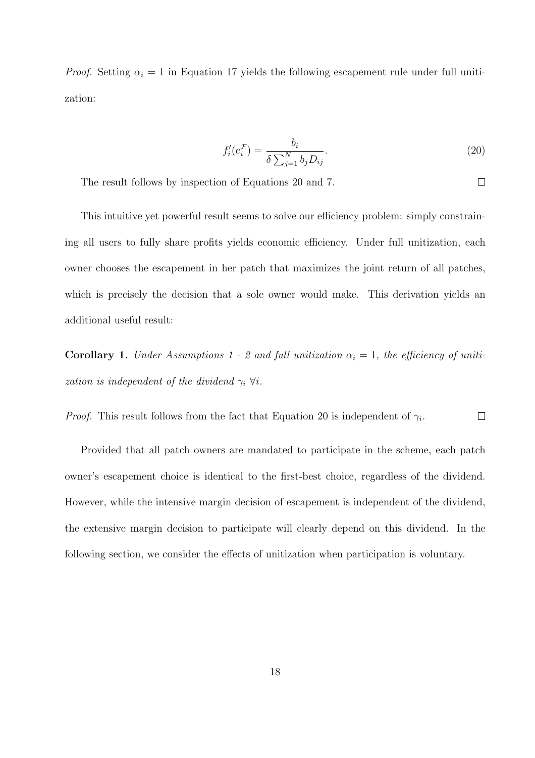*Proof.* Setting  $\alpha_i = 1$  in Equation 17 yields the following escapement rule under full unitization:

$$
f_i'(e_i^{\mathcal{F}}) = \frac{b_i}{\delta \sum_{j=1}^N b_j D_{ij}}.
$$
\n(20)

 $\Box$ 

The result follows by inspection of Equations 20 and 7.

This intuitive yet powerful result seems to solve our efficiency problem: simply constraining all users to fully share profits yields economic efficiency. Under full unitization, each owner chooses the escapement in her patch that maximizes the joint return of all patches, which is precisely the decision that a sole owner would make. This derivation yields an additional useful result:

Corollary 1. Under Assumptions 1 - 2 and full unitization  $\alpha_i = 1$ , the efficiency of unitization is independent of the dividend  $\gamma_i \ \forall i$ .

*Proof.* This result follows from the fact that Equation 20 is independent of  $\gamma_i$ .  $\Box$ 

Provided that all patch owners are mandated to participate in the scheme, each patch owner's escapement choice is identical to the first-best choice, regardless of the dividend. However, while the intensive margin decision of escapement is independent of the dividend, the extensive margin decision to participate will clearly depend on this dividend. In the following section, we consider the effects of unitization when participation is voluntary.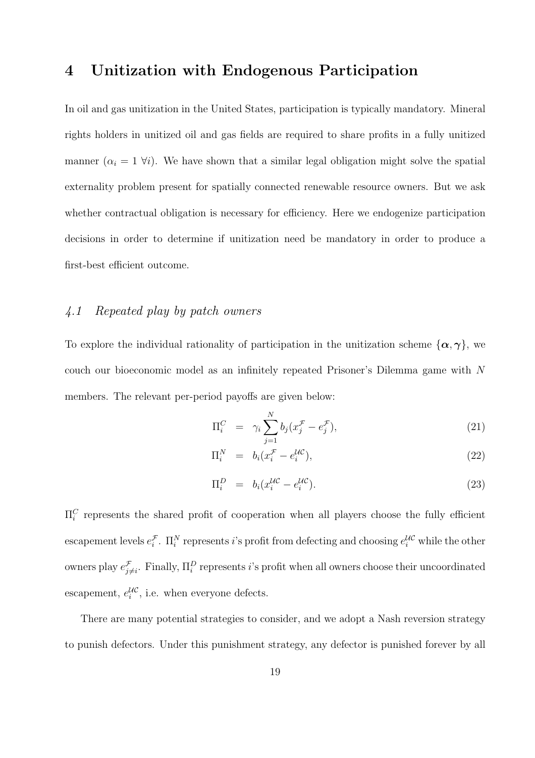## 4 Unitization with Endogenous Participation

In oil and gas unitization in the United States, participation is typically mandatory. Mineral rights holders in unitized oil and gas fields are required to share profits in a fully unitized manner  $(\alpha_i = 1 \forall i)$ . We have shown that a similar legal obligation might solve the spatial externality problem present for spatially connected renewable resource owners. But we ask whether contractual obligation is necessary for efficiency. Here we endogenize participation decisions in order to determine if unitization need be mandatory in order to produce a first-best efficient outcome.

## 4.1 Repeated play by patch owners

To explore the individual rationality of participation in the unitization scheme  $\{\alpha, \gamma\}$ , we couch our bioeconomic model as an infinitely repeated Prisoner's Dilemma game with N members. The relevant per-period payoffs are given below:

$$
\Pi_i^C = \gamma_i \sum_{j=1}^N b_j (x_j^{\mathcal{F}} - e_j^{\mathcal{F}}), \qquad (21)
$$

$$
\Pi_i^N = b_i(x_i^{\mathcal{F}} - e_i^{\mathcal{U}\mathcal{C}}),\tag{22}
$$

$$
\Pi_i^D = b_i(x_i^{\mathcal{UC}} - e_i^{\mathcal{UC}}). \tag{23}
$$

 $\Pi_i^C$  represents the shared profit of cooperation when all players choose the fully efficient escapement levels  $e_i^{\mathcal{F}}$ .  $\Pi_i^N$  represents *i*'s profit from defecting and choosing  $e_i^{\mathcal{UC}}$  while the other owners play  $e_{j\neq i}^{\mathcal{F}}$ . Finally,  $\Pi_i^D$  represents *i*'s profit when all owners choose their uncoordinated escapement,  $e_i^{\mathcal{UC}}$ , i.e. when everyone defects.

There are many potential strategies to consider, and we adopt a Nash reversion strategy to punish defectors. Under this punishment strategy, any defector is punished forever by all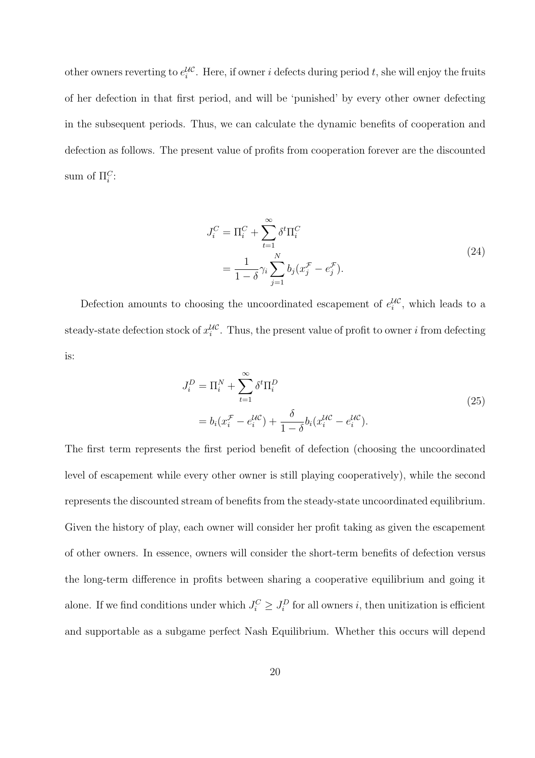other owners reverting to  $e_i^{\mathcal{UC}}$ . Here, if owner i defects during period t, she will enjoy the fruits of her defection in that first period, and will be 'punished' by every other owner defecting in the subsequent periods. Thus, we can calculate the dynamic benefits of cooperation and defection as follows. The present value of profits from cooperation forever are the discounted sum of  $\Pi_i^C$ :

$$
J_i^C = \Pi_i^C + \sum_{t=1}^{\infty} \delta^t \Pi_i^C
$$
  
= 
$$
\frac{1}{1-\delta} \gamma_i \sum_{j=1}^N b_j (x_j^{\mathcal{F}} - e_j^{\mathcal{F}}).
$$
 (24)

Defection amounts to choosing the uncoordinated escapement of  $e_i^{\mathcal{UC}}$ , which leads to a steady-state defection stock of  $x_i^{\mathcal{UC}}$ . Thus, the present value of profit to owner *i* from defecting is:

$$
J_i^D = \Pi_i^N + \sum_{t=1}^{\infty} \delta^t \Pi_i^D
$$
  
=  $b_i (x_i^{\mathcal{F}} - e_i^{\mathcal{U}C}) + \frac{\delta}{1 - \delta} b_i (x_i^{\mathcal{U}C} - e_i^{\mathcal{U}C}).$  (25)

The first term represents the first period benefit of defection (choosing the uncoordinated level of escapement while every other owner is still playing cooperatively), while the second represents the discounted stream of benefits from the steady-state uncoordinated equilibrium. Given the history of play, each owner will consider her profit taking as given the escapement of other owners. In essence, owners will consider the short-term benefits of defection versus the long-term difference in profits between sharing a cooperative equilibrium and going it alone. If we find conditions under which  $J_i^C \geq J_i^D$  for all owners *i*, then unitization is efficient and supportable as a subgame perfect Nash Equilibrium. Whether this occurs will depend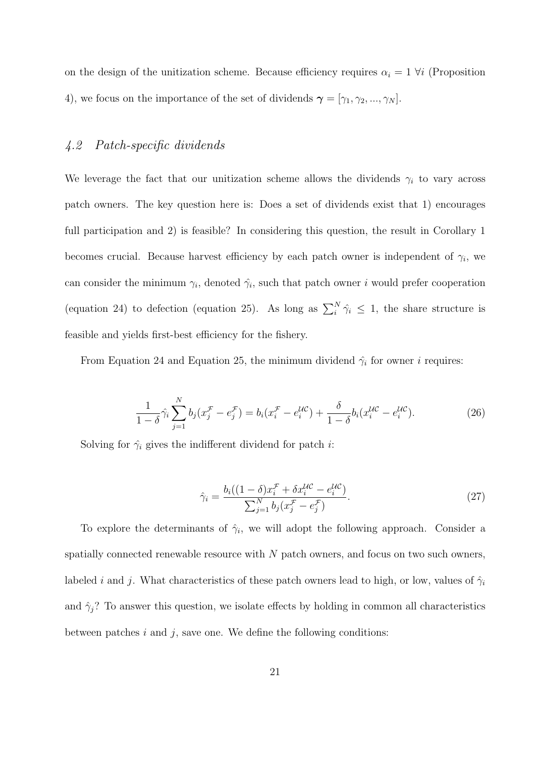on the design of the unitization scheme. Because efficiency requires  $\alpha_i = 1 \ \forall i$  (Proposition 4), we focus on the importance of the set of dividends  $\boldsymbol{\gamma} = [\gamma_1, \gamma_2, ..., \gamma_N].$ 

#### 4.2 Patch-specific dividends

We leverage the fact that our unitization scheme allows the dividends  $\gamma_i$  to vary across patch owners. The key question here is: Does a set of dividends exist that 1) encourages full participation and 2) is feasible? In considering this question, the result in Corollary 1 becomes crucial. Because harvest efficiency by each patch owner is independent of  $\gamma_i$ , we can consider the minimum  $\gamma_i$ , denoted  $\hat{\gamma}_i$ , such that patch owner *i* would prefer cooperation (equation 24) to defection (equation 25). As long as  $\sum_i^N \hat{\gamma}_i \leq 1$ , the share structure is feasible and yields first-best efficiency for the fishery.

From Equation 24 and Equation 25, the minimum dividend  $\hat{\gamma}_i$  for owner *i* requires:

$$
\frac{1}{1-\delta}\hat{\gamma}_i \sum_{j=1}^N b_j (x_j^{\mathcal{F}} - e_j^{\mathcal{F}}) = b_i (x_i^{\mathcal{F}} - e_i^{\mathcal{UC}}) + \frac{\delta}{1-\delta} b_i (x_i^{\mathcal{UC}} - e_i^{\mathcal{UC}}). \tag{26}
$$

Solving for  $\hat{\gamma}_i$  gives the indifferent dividend for patch *i*:

$$
\hat{\gamma}_i = \frac{b_i((1-\delta)x_i^{\mathcal{F}} + \delta x_i^{\mathcal{U}\mathcal{C}} - e_i^{\mathcal{U}\mathcal{C}})}{\sum_{j=1}^N b_j (x_j^{\mathcal{F}} - e_j^{\mathcal{F}})}.
$$
\n(27)

To explore the determinants of  $\hat{\gamma}_i$ , we will adopt the following approach. Consider a spatially connected renewable resource with  $N$  patch owners, and focus on two such owners, labeled *i* and *j*. What characteristics of these patch owners lead to high, or low, values of  $\hat{\gamma}_i$ and  $\hat{\gamma}_j$ ? To answer this question, we isolate effects by holding in common all characteristics between patches  $i$  and  $j$ , save one. We define the following conditions: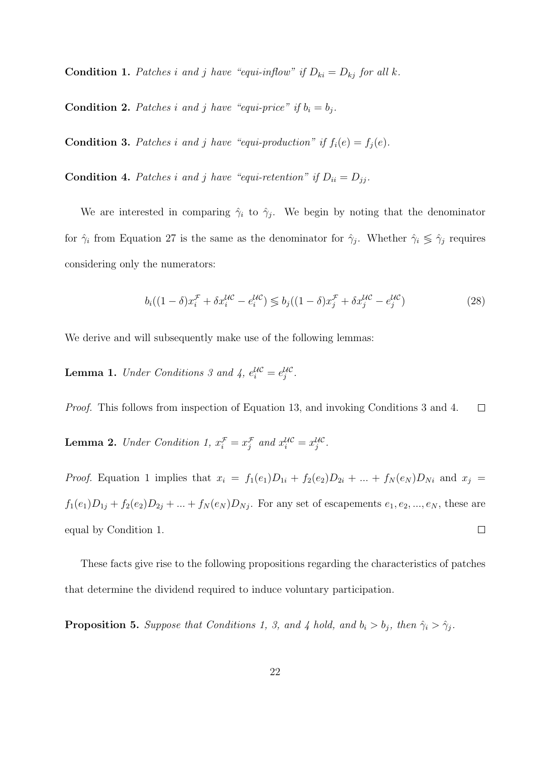**Condition 1.** Patches i and j have "equi-inflow" if  $D_{ki} = D_{kj}$  for all k.

**Condition 2.** Patches i and j have "equi-price" if  $b_i = b_j$ .

**Condition 3.** Patches i and j have "equi-production" if  $f_i(e) = f_j(e)$ .

**Condition 4.** Patches i and j have "equi-retention" if  $D_{ii} = D_{jj}$ .

We are interested in comparing  $\hat{\gamma}_i$  to  $\hat{\gamma}_j$ . We begin by noting that the denominator for  $\hat{\gamma}_i$  from Equation 27 is the same as the denominator for  $\hat{\gamma}_j$ . Whether  $\hat{\gamma}_i \leq \hat{\gamma}_j$  requires considering only the numerators:

$$
b_i((1-\delta)x_i^{\mathcal{F}} + \delta x_i^{\mathcal{U}\mathcal{C}} - e_i^{\mathcal{U}\mathcal{C}}) \leq b_j((1-\delta)x_j^{\mathcal{F}} + \delta x_j^{\mathcal{U}\mathcal{C}} - e_j^{\mathcal{U}\mathcal{C}})
$$
(28)

We derive and will subsequently make use of the following lemmas:

**Lemma 1.** Under Conditions 3 and 4,  $e_i^{\mathcal{UC}} = e_j^{\mathcal{UC}}$ .

Proof. This follows from inspection of Equation 13, and invoking Conditions 3 and 4.  $\Box$ 

**Lemma 2.** Under Condition 1,  $x_i^{\mathcal{F}} = x_j^{\mathcal{F}}$  and  $x_i^{\mathcal{UC}} = x_j^{\mathcal{UC}}$ .

*Proof.* Equation 1 implies that  $x_i = f_1(e_1)D_{1i} + f_2(e_2)D_{2i} + \ldots + f_N(e_N)D_{Ni}$  and  $x_j =$  $f_1(e_1)D_{1j} + f_2(e_2)D_{2j} + \ldots + f_N(e_N)D_{Nj}$ . For any set of escapements  $e_1, e_2, \ldots, e_N$ , these are  $\Box$ equal by Condition 1.

These facts give rise to the following propositions regarding the characteristics of patches that determine the dividend required to induce voluntary participation.

**Proposition 5.** Suppose that Conditions 1, 3, and 4 hold, and  $b_i > b_j$ , then  $\hat{\gamma}_i > \hat{\gamma}_j$ .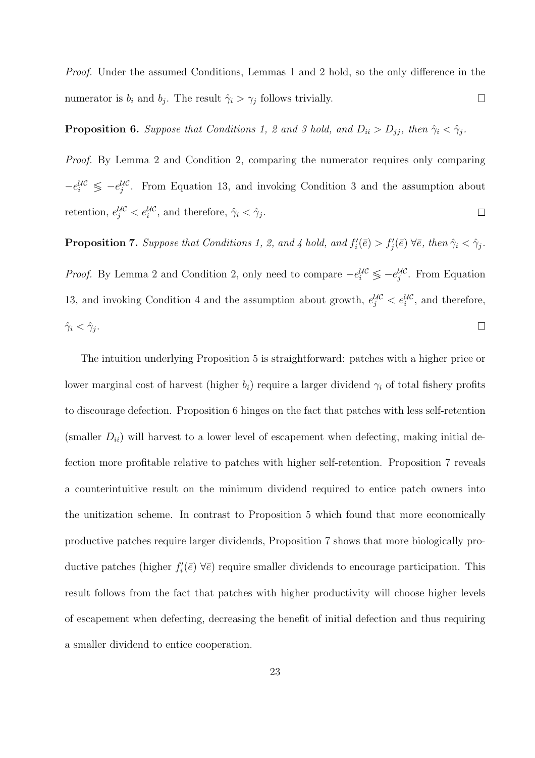Proof. Under the assumed Conditions, Lemmas 1 and 2 hold, so the only difference in the numerator is  $b_i$  and  $b_j$ . The result  $\hat{\gamma}_i > \gamma_j$  follows trivially.  $\Box$ 

## **Proposition 6.** Suppose that Conditions 1, 2 and 3 hold, and  $D_{ii} > D_{jj}$ , then  $\hat{\gamma}_i < \hat{\gamma}_j$ .

Proof. By Lemma 2 and Condition 2, comparing the numerator requires only comparing  $-e_i^{\mu c} \leq -e_j^{\mu c}$ . From Equation 13, and invoking Condition 3 and the assumption about retention,  $e_j^{\mathcal{U}\mathcal{C}} < e_i^{\mathcal{U}\mathcal{C}}$ , and therefore,  $\hat{\gamma}_i < \hat{\gamma}_j$ .  $\Box$ 

**Proposition 7.** Suppose that Conditions 1, 2, and 4 hold, and  $f'_i(\bar{e}) > f'_j(\bar{e}) \ \forall \bar{e}$ , then  $\hat{\gamma}_i < \hat{\gamma}_j$ .

*Proof.* By Lemma 2 and Condition 2, only need to compare  $-e_i^{\mathcal{UC}} \leq -e_j^{\mathcal{UC}}$ . From Equation 13, and invoking Condition 4 and the assumption about growth,  $e^{i\ell\zeta}_j < e^{i\ell\zeta}_i$ , and therefore,  $\hat{\gamma}_i < \hat{\gamma}_j$ .  $\Box$ 

The intuition underlying Proposition 5 is straightforward: patches with a higher price or lower marginal cost of harvest (higher  $b_i$ ) require a larger dividend  $\gamma_i$  of total fishery profits to discourage defection. Proposition 6 hinges on the fact that patches with less self-retention (smaller  $D_{ii}$ ) will harvest to a lower level of escapement when defecting, making initial defection more profitable relative to patches with higher self-retention. Proposition 7 reveals a counterintuitive result on the minimum dividend required to entice patch owners into the unitization scheme. In contrast to Proposition 5 which found that more economically productive patches require larger dividends, Proposition 7 shows that more biologically productive patches (higher  $f_i'(\bar{e}) \ \forall \bar{e}$ ) require smaller dividends to encourage participation. This result follows from the fact that patches with higher productivity will choose higher levels of escapement when defecting, decreasing the benefit of initial defection and thus requiring a smaller dividend to entice cooperation.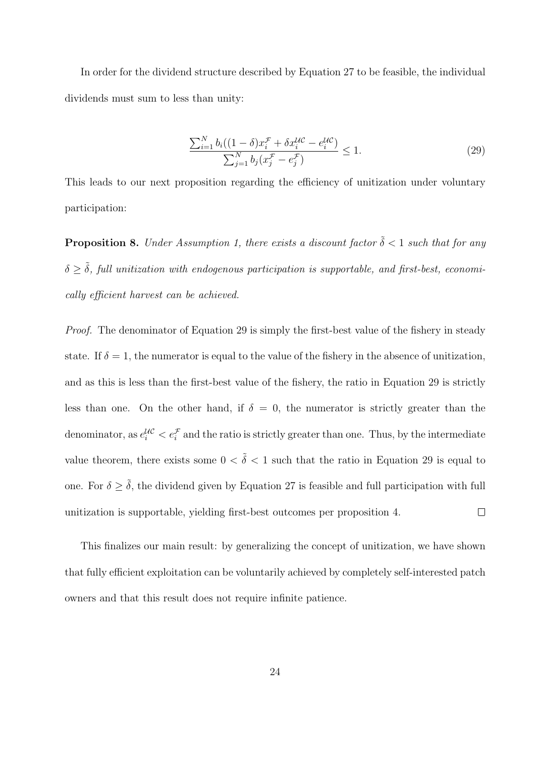In order for the dividend structure described by Equation 27 to be feasible, the individual dividends must sum to less than unity:

$$
\frac{\sum_{i=1}^{N} b_i ((1 - \delta) x_i^{\mathcal{F}} + \delta x_i^{\mathcal{U}\mathcal{C}} - e_i^{\mathcal{U}\mathcal{C}})}{\sum_{j=1}^{N} b_j (x_j^{\mathcal{F}} - e_j^{\mathcal{F}})} \le 1.
$$
\n(29)

This leads to our next proposition regarding the efficiency of unitization under voluntary participation:

**Proposition 8.** Under Assumption 1, there exists a discount factor  $\tilde{\delta} < 1$  such that for any  $\delta \geq \tilde{\delta}$ , full unitization with endogenous participation is supportable, and first-best, economically efficient harvest can be achieved.

Proof. The denominator of Equation 29 is simply the first-best value of the fishery in steady state. If  $\delta = 1$ , the numerator is equal to the value of the fishery in the absence of unitization, and as this is less than the first-best value of the fishery, the ratio in Equation 29 is strictly less than one. On the other hand, if  $\delta = 0$ , the numerator is strictly greater than the denominator, as  $e_i^{\mathcal{U}\mathcal{C}} < e_i^{\mathcal{F}}$  and the ratio is strictly greater than one. Thus, by the intermediate value theorem, there exists some  $0 < \tilde{\delta} < 1$  such that the ratio in Equation 29 is equal to one. For  $\delta \geq \tilde{\delta}$ , the dividend given by Equation 27 is feasible and full participation with full  $\Box$ unitization is supportable, yielding first-best outcomes per proposition 4.

This finalizes our main result: by generalizing the concept of unitization, we have shown that fully efficient exploitation can be voluntarily achieved by completely self-interested patch owners and that this result does not require infinite patience.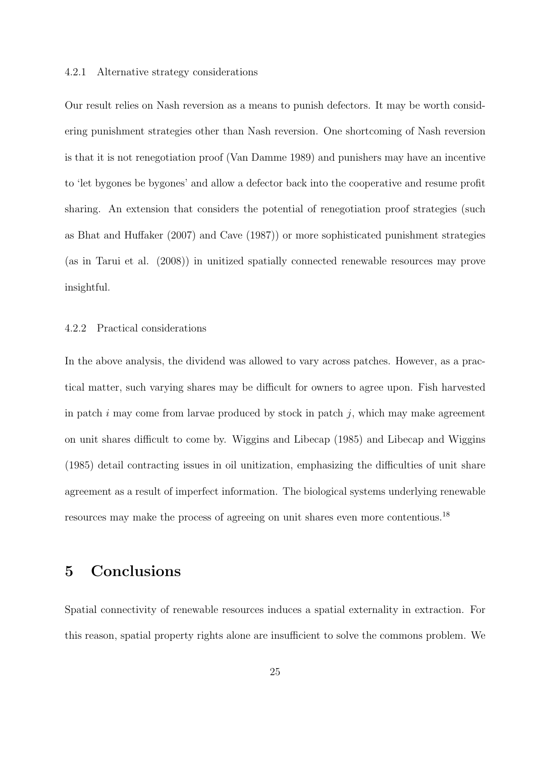#### 4.2.1 Alternative strategy considerations

Our result relies on Nash reversion as a means to punish defectors. It may be worth considering punishment strategies other than Nash reversion. One shortcoming of Nash reversion is that it is not renegotiation proof (Van Damme 1989) and punishers may have an incentive to 'let bygones be bygones' and allow a defector back into the cooperative and resume profit sharing. An extension that considers the potential of renegotiation proof strategies (such as Bhat and Huffaker (2007) and Cave (1987)) or more sophisticated punishment strategies (as in Tarui et al. (2008)) in unitized spatially connected renewable resources may prove insightful.

#### 4.2.2 Practical considerations

In the above analysis, the dividend was allowed to vary across patches. However, as a practical matter, such varying shares may be difficult for owners to agree upon. Fish harvested in patch  $i$  may come from larvae produced by stock in patch  $j$ , which may make agreement on unit shares difficult to come by. Wiggins and Libecap (1985) and Libecap and Wiggins (1985) detail contracting issues in oil unitization, emphasizing the difficulties of unit share agreement as a result of imperfect information. The biological systems underlying renewable resources may make the process of agreeing on unit shares even more contentious.<sup>18</sup>

## 5 Conclusions

Spatial connectivity of renewable resources induces a spatial externality in extraction. For this reason, spatial property rights alone are insufficient to solve the commons problem. We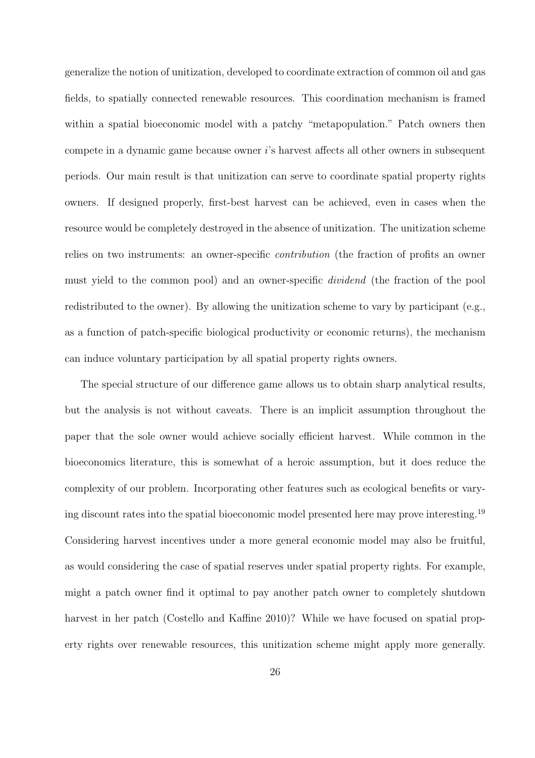generalize the notion of unitization, developed to coordinate extraction of common oil and gas fields, to spatially connected renewable resources. This coordination mechanism is framed within a spatial bioeconomic model with a patchy "metapopulation." Patch owners then compete in a dynamic game because owner i's harvest affects all other owners in subsequent periods. Our main result is that unitization can serve to coordinate spatial property rights owners. If designed properly, first-best harvest can be achieved, even in cases when the resource would be completely destroyed in the absence of unitization. The unitization scheme relies on two instruments: an owner-specific contribution (the fraction of profits an owner must yield to the common pool) and an owner-specific dividend (the fraction of the pool redistributed to the owner). By allowing the unitization scheme to vary by participant (e.g., as a function of patch-specific biological productivity or economic returns), the mechanism can induce voluntary participation by all spatial property rights owners.

The special structure of our difference game allows us to obtain sharp analytical results, but the analysis is not without caveats. There is an implicit assumption throughout the paper that the sole owner would achieve socially efficient harvest. While common in the bioeconomics literature, this is somewhat of a heroic assumption, but it does reduce the complexity of our problem. Incorporating other features such as ecological benefits or varying discount rates into the spatial bioeconomic model presented here may prove interesting.<sup>19</sup> Considering harvest incentives under a more general economic model may also be fruitful, as would considering the case of spatial reserves under spatial property rights. For example, might a patch owner find it optimal to pay another patch owner to completely shutdown harvest in her patch (Costello and Kaffine 2010)? While we have focused on spatial property rights over renewable resources, this unitization scheme might apply more generally.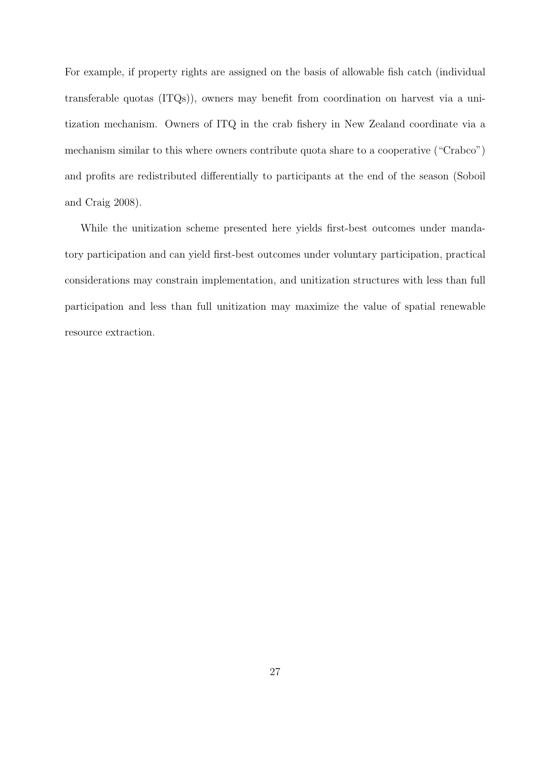For example, if property rights are assigned on the basis of allowable fish catch (individual transferable quotas (ITQs)), owners may benefit from coordination on harvest via a unitization mechanism. Owners of ITQ in the crab fishery in New Zealand coordinate via a mechanism similar to this where owners contribute quota share to a cooperative ("Crabco") and profits are redistributed differentially to participants at the end of the season (Soboil and Craig 2008).

While the unitization scheme presented here yields first-best outcomes under mandatory participation and can yield first-best outcomes under voluntary participation, practical considerations may constrain implementation, and unitization structures with less than full participation and less than full unitization may maximize the value of spatial renewable resource extraction.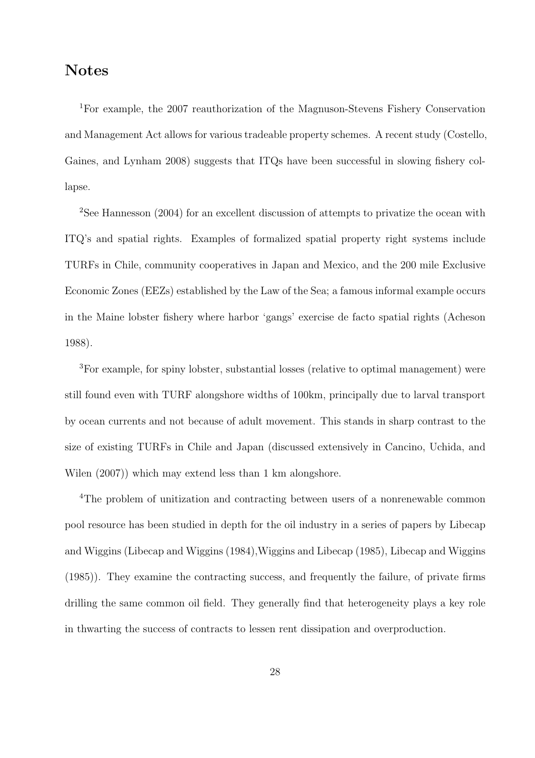# Notes

<sup>1</sup>For example, the 2007 reauthorization of the Magnuson-Stevens Fishery Conservation and Management Act allows for various tradeable property schemes. A recent study (Costello, Gaines, and Lynham 2008) suggests that ITQs have been successful in slowing fishery collapse.

<sup>2</sup>See Hannesson (2004) for an excellent discussion of attempts to privatize the ocean with ITQ's and spatial rights. Examples of formalized spatial property right systems include TURFs in Chile, community cooperatives in Japan and Mexico, and the 200 mile Exclusive Economic Zones (EEZs) established by the Law of the Sea; a famous informal example occurs in the Maine lobster fishery where harbor 'gangs' exercise de facto spatial rights (Acheson 1988).

<sup>3</sup>For example, for spiny lobster, substantial losses (relative to optimal management) were still found even with TURF alongshore widths of 100km, principally due to larval transport by ocean currents and not because of adult movement. This stands in sharp contrast to the size of existing TURFs in Chile and Japan (discussed extensively in Cancino, Uchida, and Wilen (2007)) which may extend less than 1 km alongshore.

<sup>4</sup>The problem of unitization and contracting between users of a nonrenewable common pool resource has been studied in depth for the oil industry in a series of papers by Libecap and Wiggins (Libecap and Wiggins (1984),Wiggins and Libecap (1985), Libecap and Wiggins (1985)). They examine the contracting success, and frequently the failure, of private firms drilling the same common oil field. They generally find that heterogeneity plays a key role in thwarting the success of contracts to lessen rent dissipation and overproduction.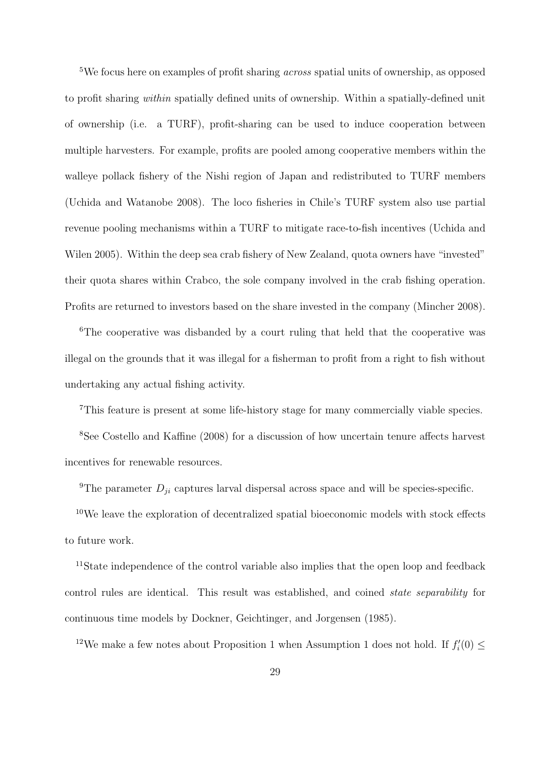<sup>5</sup>We focus here on examples of profit sharing across spatial units of ownership, as opposed to profit sharing within spatially defined units of ownership. Within a spatially-defined unit of ownership (i.e. a TURF), profit-sharing can be used to induce cooperation between multiple harvesters. For example, profits are pooled among cooperative members within the walleye pollack fishery of the Nishi region of Japan and redistributed to TURF members (Uchida and Watanobe 2008). The loco fisheries in Chile's TURF system also use partial revenue pooling mechanisms within a TURF to mitigate race-to-fish incentives (Uchida and Wilen 2005). Within the deep sea crab fishery of New Zealand, quota owners have "invested" their quota shares within Crabco, the sole company involved in the crab fishing operation. Profits are returned to investors based on the share invested in the company (Mincher 2008).

<sup>6</sup>The cooperative was disbanded by a court ruling that held that the cooperative was illegal on the grounds that it was illegal for a fisherman to profit from a right to fish without undertaking any actual fishing activity.

<sup>7</sup>This feature is present at some life-history stage for many commercially viable species.

<sup>8</sup>See Costello and Kaffine (2008) for a discussion of how uncertain tenure affects harvest incentives for renewable resources.

<sup>9</sup>The parameter  $D_{ji}$  captures larval dispersal across space and will be species-specific.

<sup>10</sup>We leave the exploration of decentralized spatial bioeconomic models with stock effects to future work.

<sup>11</sup>State independence of the control variable also implies that the open loop and feedback control rules are identical. This result was established, and coined state separability for continuous time models by Dockner, Geichtinger, and Jorgensen (1985).

<sup>12</sup>We make a few notes about Proposition 1 when Assumption 1 does not hold. If  $f_i'(0) \leq$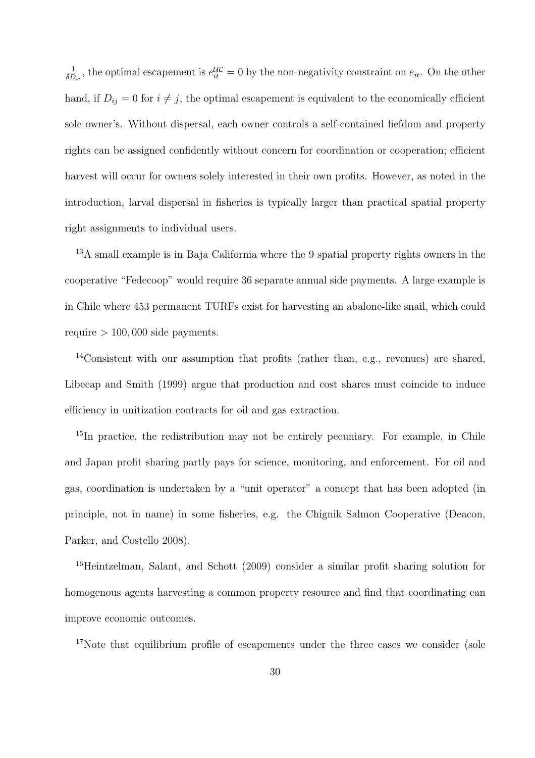1  $\frac{1}{\delta D_{ii}}$ , the optimal escapement is  $e^{i\mathcal{U}}_{it} = 0$  by the non-negativity constraint on  $e_{it}$ . On the other hand, if  $D_{ij} = 0$  for  $i \neq j$ , the optimal escapement is equivalent to the economically efficient sole owner's. Without dispersal, each owner controls a self-contained fiefdom and property rights can be assigned confidently without concern for coordination or cooperation; efficient harvest will occur for owners solely interested in their own profits. However, as noted in the introduction, larval dispersal in fisheries is typically larger than practical spatial property right assignments to individual users.

<sup>13</sup>A small example is in Baja California where the 9 spatial property rights owners in the cooperative "Fedecoop" would require 36 separate annual side payments. A large example is in Chile where 453 permanent TURFs exist for harvesting an abalone-like snail, which could require  $> 100,000$  side payments.

<sup>14</sup>Consistent with our assumption that profits (rather than, e.g., revenues) are shared, Libecap and Smith (1999) argue that production and cost shares must coincide to induce efficiency in unitization contracts for oil and gas extraction.

<sup>15</sup>In practice, the redistribution may not be entirely pecuniary. For example, in Chile and Japan profit sharing partly pays for science, monitoring, and enforcement. For oil and gas, coordination is undertaken by a "unit operator" a concept that has been adopted (in principle, not in name) in some fisheries, e.g. the Chignik Salmon Cooperative (Deacon, Parker, and Costello 2008).

<sup>16</sup>Heintzelman, Salant, and Schott (2009) consider a similar profit sharing solution for homogenous agents harvesting a common property resource and find that coordinating can improve economic outcomes.

<sup>17</sup>Note that equilibrium profile of escapements under the three cases we consider (sole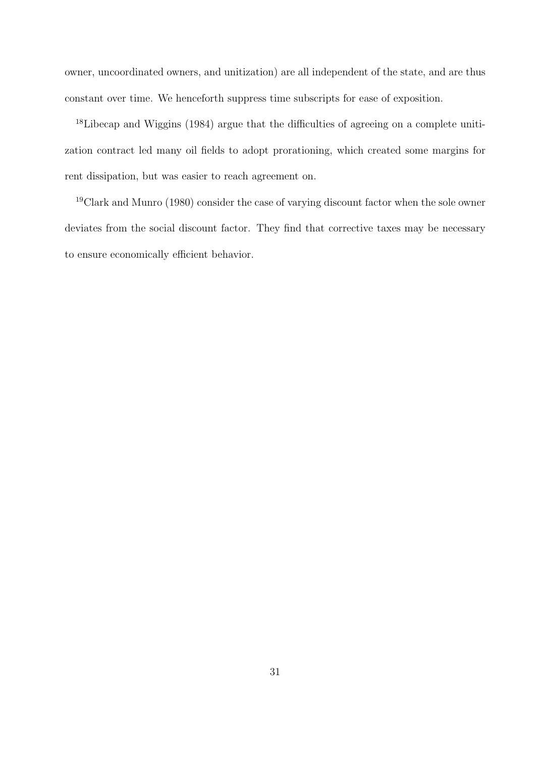owner, uncoordinated owners, and unitization) are all independent of the state, and are thus constant over time. We henceforth suppress time subscripts for ease of exposition.

18Libecap and Wiggins (1984) argue that the difficulties of agreeing on a complete unitization contract led many oil fields to adopt prorationing, which created some margins for rent dissipation, but was easier to reach agreement on.

<sup>19</sup>Clark and Munro (1980) consider the case of varying discount factor when the sole owner deviates from the social discount factor. They find that corrective taxes may be necessary to ensure economically efficient behavior.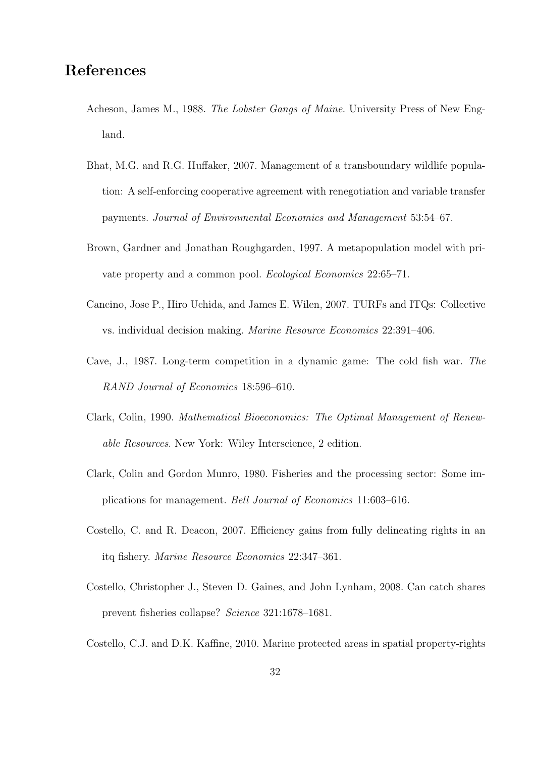# References

- Acheson, James M., 1988. The Lobster Gangs of Maine. University Press of New England.
- Bhat, M.G. and R.G. Huffaker, 2007. Management of a transboundary wildlife population: A self-enforcing cooperative agreement with renegotiation and variable transfer payments. Journal of Environmental Economics and Management 53:54–67.
- Brown, Gardner and Jonathan Roughgarden, 1997. A metapopulation model with private property and a common pool. Ecological Economics 22:65–71.
- Cancino, Jose P., Hiro Uchida, and James E. Wilen, 2007. TURFs and ITQs: Collective vs. individual decision making. Marine Resource Economics 22:391–406.
- Cave, J., 1987. Long-term competition in a dynamic game: The cold fish war. The RAND Journal of Economics 18:596–610.
- Clark, Colin, 1990. Mathematical Bioeconomics: The Optimal Management of Renewable Resources. New York: Wiley Interscience, 2 edition.
- Clark, Colin and Gordon Munro, 1980. Fisheries and the processing sector: Some implications for management. Bell Journal of Economics 11:603–616.
- Costello, C. and R. Deacon, 2007. Efficiency gains from fully delineating rights in an itq fishery. Marine Resource Economics 22:347–361.
- Costello, Christopher J., Steven D. Gaines, and John Lynham, 2008. Can catch shares prevent fisheries collapse? Science 321:1678–1681.
- Costello, C.J. and D.K. Kaffine, 2010. Marine protected areas in spatial property-rights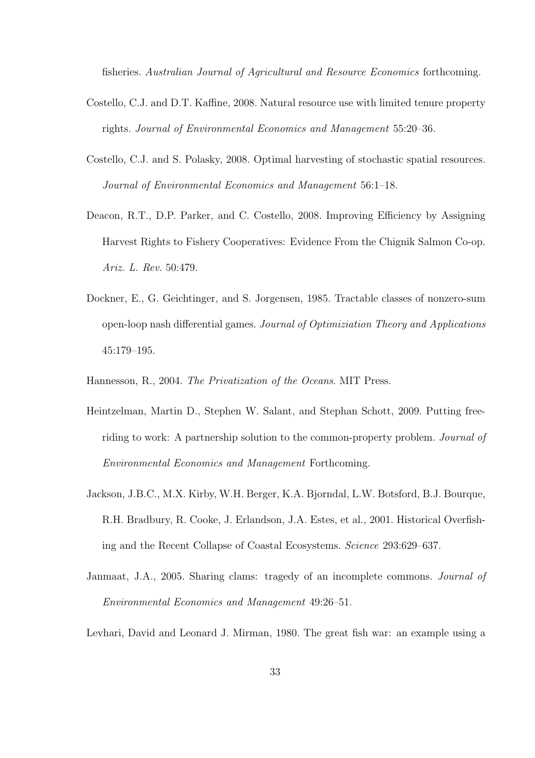fisheries. Australian Journal of Agricultural and Resource Economics forthcoming.

- Costello, C.J. and D.T. Kaffine, 2008. Natural resource use with limited tenure property rights. Journal of Environmental Economics and Management 55:20–36.
- Costello, C.J. and S. Polasky, 2008. Optimal harvesting of stochastic spatial resources. Journal of Environmental Economics and Management 56:1–18.
- Deacon, R.T., D.P. Parker, and C. Costello, 2008. Improving Efficiency by Assigning Harvest Rights to Fishery Cooperatives: Evidence From the Chignik Salmon Co-op. Ariz. L. Rev. 50:479.
- Dockner, E., G. Geichtinger, and S. Jorgensen, 1985. Tractable classes of nonzero-sum open-loop nash differential games. Journal of Optimiziation Theory and Applications 45:179–195.
- Hannesson, R., 2004. The Privatization of the Oceans. MIT Press.
- Heintzelman, Martin D., Stephen W. Salant, and Stephan Schott, 2009. Putting freeriding to work: A partnership solution to the common-property problem. Journal of Environmental Economics and Management Forthcoming.
- Jackson, J.B.C., M.X. Kirby, W.H. Berger, K.A. Bjorndal, L.W. Botsford, B.J. Bourque, R.H. Bradbury, R. Cooke, J. Erlandson, J.A. Estes, et al., 2001. Historical Overfishing and the Recent Collapse of Coastal Ecosystems. Science 293:629–637.
- Janmaat, J.A., 2005. Sharing clams: tragedy of an incomplete commons. Journal of Environmental Economics and Management 49:26–51.
- Levhari, David and Leonard J. Mirman, 1980. The great fish war: an example using a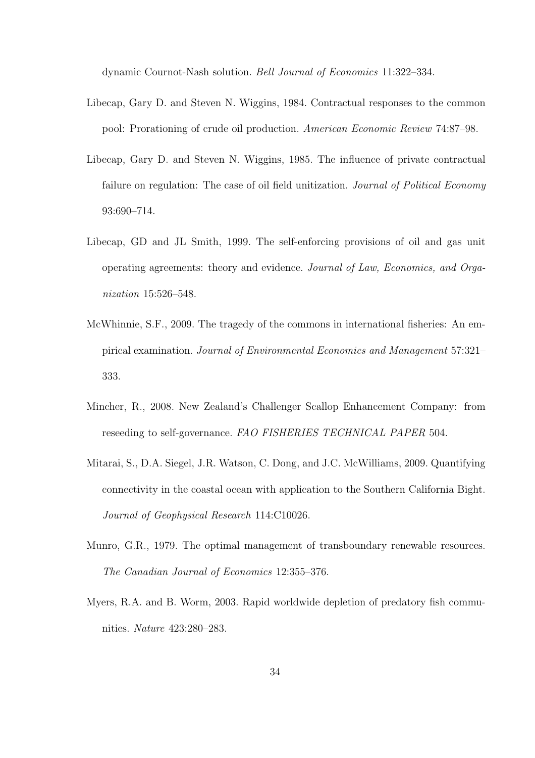dynamic Cournot-Nash solution. Bell Journal of Economics 11:322–334.

- Libecap, Gary D. and Steven N. Wiggins, 1984. Contractual responses to the common pool: Prorationing of crude oil production. American Economic Review 74:87–98.
- Libecap, Gary D. and Steven N. Wiggins, 1985. The influence of private contractual failure on regulation: The case of oil field unitization. *Journal of Political Economy* 93:690–714.
- Libecap, GD and JL Smith, 1999. The self-enforcing provisions of oil and gas unit operating agreements: theory and evidence. Journal of Law, Economics, and Organization 15:526–548.
- McWhinnie, S.F., 2009. The tragedy of the commons in international fisheries: An empirical examination. Journal of Environmental Economics and Management 57:321– 333.
- Mincher, R., 2008. New Zealand's Challenger Scallop Enhancement Company: from reseeding to self-governance. FAO FISHERIES TECHNICAL PAPER 504.
- Mitarai, S., D.A. Siegel, J.R. Watson, C. Dong, and J.C. McWilliams, 2009. Quantifying connectivity in the coastal ocean with application to the Southern California Bight. Journal of Geophysical Research 114:C10026.
- Munro, G.R., 1979. The optimal management of transboundary renewable resources. The Canadian Journal of Economics 12:355–376.
- Myers, R.A. and B. Worm, 2003. Rapid worldwide depletion of predatory fish communities. Nature 423:280–283.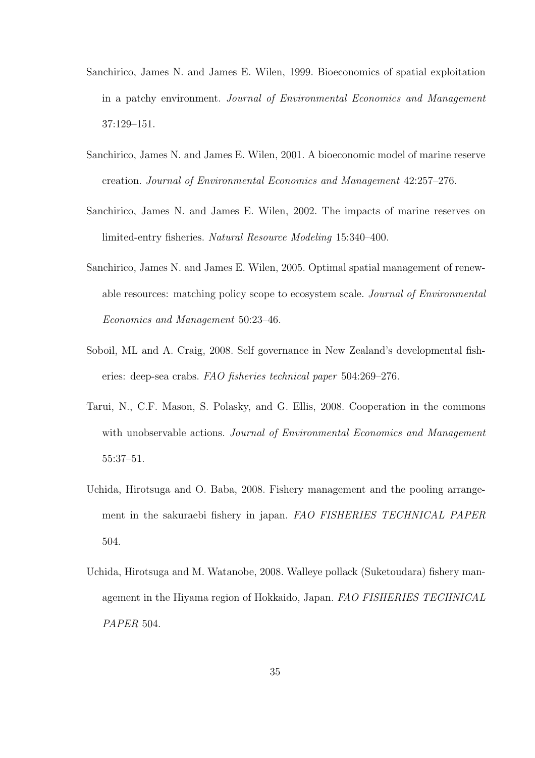- Sanchirico, James N. and James E. Wilen, 1999. Bioeconomics of spatial exploitation in a patchy environment. Journal of Environmental Economics and Management 37:129–151.
- Sanchirico, James N. and James E. Wilen, 2001. A bioeconomic model of marine reserve creation. Journal of Environmental Economics and Management 42:257–276.
- Sanchirico, James N. and James E. Wilen, 2002. The impacts of marine reserves on limited-entry fisheries. Natural Resource Modeling 15:340–400.
- Sanchirico, James N. and James E. Wilen, 2005. Optimal spatial management of renewable resources: matching policy scope to ecosystem scale. Journal of Environmental Economics and Management 50:23–46.
- Soboil, ML and A. Craig, 2008. Self governance in New Zealand's developmental fisheries: deep-sea crabs. FAO fisheries technical paper 504:269–276.
- Tarui, N., C.F. Mason, S. Polasky, and G. Ellis, 2008. Cooperation in the commons with unobservable actions. Journal of Environmental Economics and Management 55:37–51.
- Uchida, Hirotsuga and O. Baba, 2008. Fishery management and the pooling arrangement in the sakuraebi fishery in japan. FAO FISHERIES TECHNICAL PAPER 504.
- Uchida, Hirotsuga and M. Watanobe, 2008. Walleye pollack (Suketoudara) fishery management in the Hiyama region of Hokkaido, Japan. FAO FISHERIES TECHNICAL PAPER 504.